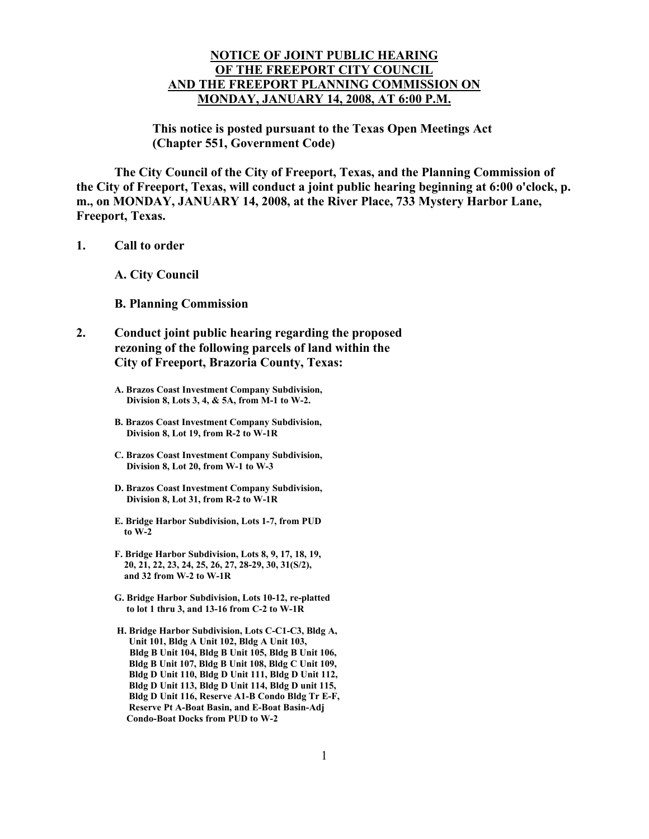## **NOTICE OF JOINT PUBLIC HEARING OF THE FREEPORT CITY COUNCIL AND THE FREEPORT PLANNING COMMISSION ON MONDAY, JANUARY 14, 2008, AT 6:00 P.M.**

**This notice is posted pursuant to the Texas Open Meetings Act (Chapter 551, Government Code)** 

 **The City Council of the City of Freeport, Texas, and the Planning Commission of the City of Freeport, Texas, will conduct a joint public hearing beginning at 6:00 o'clock, p. m., on MONDAY, JANUARY 14, 2008, at the River Place, 733 Mystery Harbor Lane, Freeport, Texas.** 

**1. Call to order** 

 **A. City Council** 

 **B. Planning Commission** 

- **2. Conduct joint public hearing regarding the proposed rezoning of the following parcels of land within the City of Freeport, Brazoria County, Texas:** 
	- **A. Brazos Coast Investment Company Subdivision, Division 8, Lots 3, 4, & 5A, from M-1 to W-2.**
	- **B. Brazos Coast Investment Company Subdivision, Division 8, Lot 19, from R-2 to W-1R**
	- **C. Brazos Coast Investment Company Subdivision, Division 8, Lot 20, from W-1 to W-3**
	- **D. Brazos Coast Investment Company Subdivision, Division 8, Lot 31, from R-2 to W-1R**
	- **E. Bridge Harbor Subdivision, Lots 1-7, from PUD to W-2**
	- **F. Bridge Harbor Subdivision, Lots 8, 9, 17, 18, 19, 20, 21, 22, 23, 24, 25, 26, 27, 28-29, 30, 31(S/2), and 32 from W-2 to W-1R**
	- **G. Bridge Harbor Subdivision, Lots 10-12, re-platted to lot 1 thru 3, and 13-16 from C-2 to W-1R**
	- **H. Bridge Harbor Subdivision, Lots C-C1-C3, Bldg A, Unit 101, Bldg A Unit 102, Bldg A Unit 103, Bldg B Unit 104, Bldg B Unit 105, Bldg B Unit 106, Bldg B Unit 107, Bldg B Unit 108, Bldg C Unit 109, Bldg D Unit 110, Bldg D Unit 111, Bldg D Unit 112, Bldg D Unit 113, Bldg D Unit 114, Bldg D unit 115, Bldg D Unit 116, Reserve A1-B Condo Bldg Tr E-F, Reserve Pt A-Boat Basin, and E-Boat Basin-Adj Condo-Boat Docks from PUD to W-2**